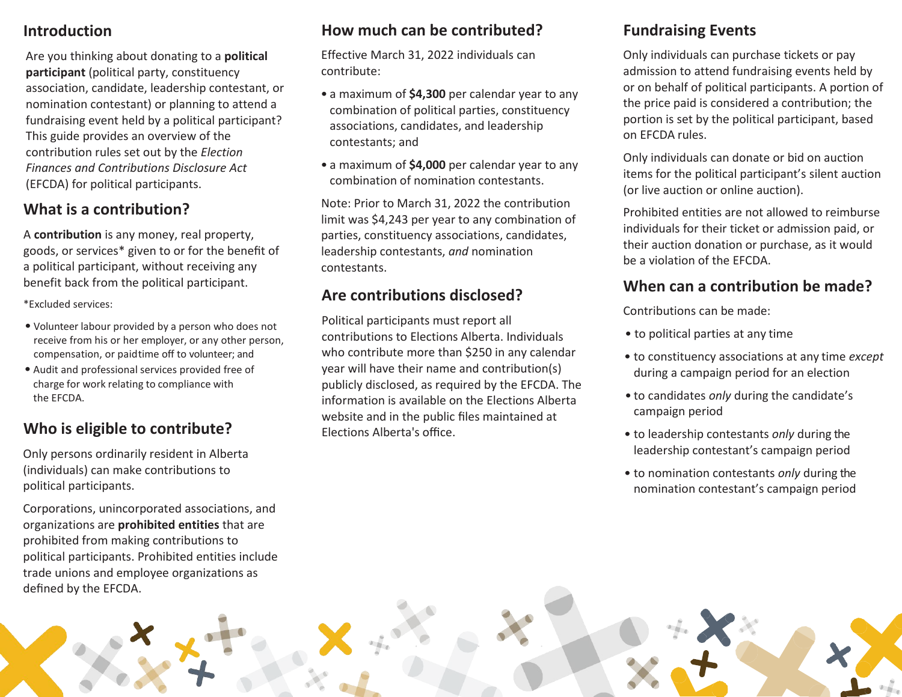#### **Introduction**

Are you thinking about donating to a **political participant** (political party, constituency association, candidate, leadership contestant, or nomination contestant) or planning to attend a fundraising event held by a political participant? This guide provides an overview of the contribution rules set out by the *Election Finances and Contributions Disclosure Act*  (EFCDA) for political participants.

### **What is a contribution?**

A **contribution** is any money, real property, goods, or services\* given to or for the benefit of a political participant, without receiving any benefit back from the political participant.

\*Excluded services:

- Volunteer labour provided by a person who does not receive from his or her employer, or any other person, compensation, or paidtime off to volunteer; and
- Audit and professional services provided free of charge for work relating to compliance with the EFCDA.

## **Who is eligible to contribute?**

Only persons ordinarily resident in Alberta (individuals) can make contributions to political participants.

Corporations, unincorporated associations, and organizations are **prohibited entities** that are prohibited from making contributions to political participants. Prohibited entities include trade unions and employee organizations as defined by the EFCDA.

## **How much can be contributed?**

Effective March 31, 2022 individuals can contribute:

- a maximum of **\$4,300** per calendar year to any combination of political parties, constituency associations, candidates, and leadership contestants; and
- a maximum of **\$4,000** per calendar year to any combination of nomination contestants.

Note: Prior to March 31, 2022 the contribution limit was \$4,243 per year to any combination of parties, constituency associations, candidates, leadership contestants, *and* nomination contestants.

## **Are contributions disclosed?**

Political participants must report all contributions to Elections Alberta. Individuals who contribute more than \$250 in any calendar year will have their name and contribution(s) publicly disclosed, as required by the EFCDA. The information is available on the Elections Alberta website and in the public files maintained at Elections Alberta's office.

## **Fundraising Events**

Only individuals can purchase tickets or pay admission to attend fundraising events held by or on behalf of political participants. A portion of the price paid is considered a contribution; the portion is set by the political participant, based on EFCDA rules.

Only individuals can donate or bid on auction items for the political participant's silent auction (or live auction or online auction).

Prohibited entities are not allowed to reimburse individuals for their ticket or admission paid, or their auction donation or purchase, as it would be a violation of the EFCDA.

#### **When can a contribution be made?**

Contributions can be made:

- to political parties at any time
- to constituency associations at any time *except*  during a campaign period for an election
- to candidates *only* during the candidate's campaign period
- to leadership contestants *only* during the leadership contestant's campaign period
- to nomination contestants *only* during the nomination contestant's campaign period